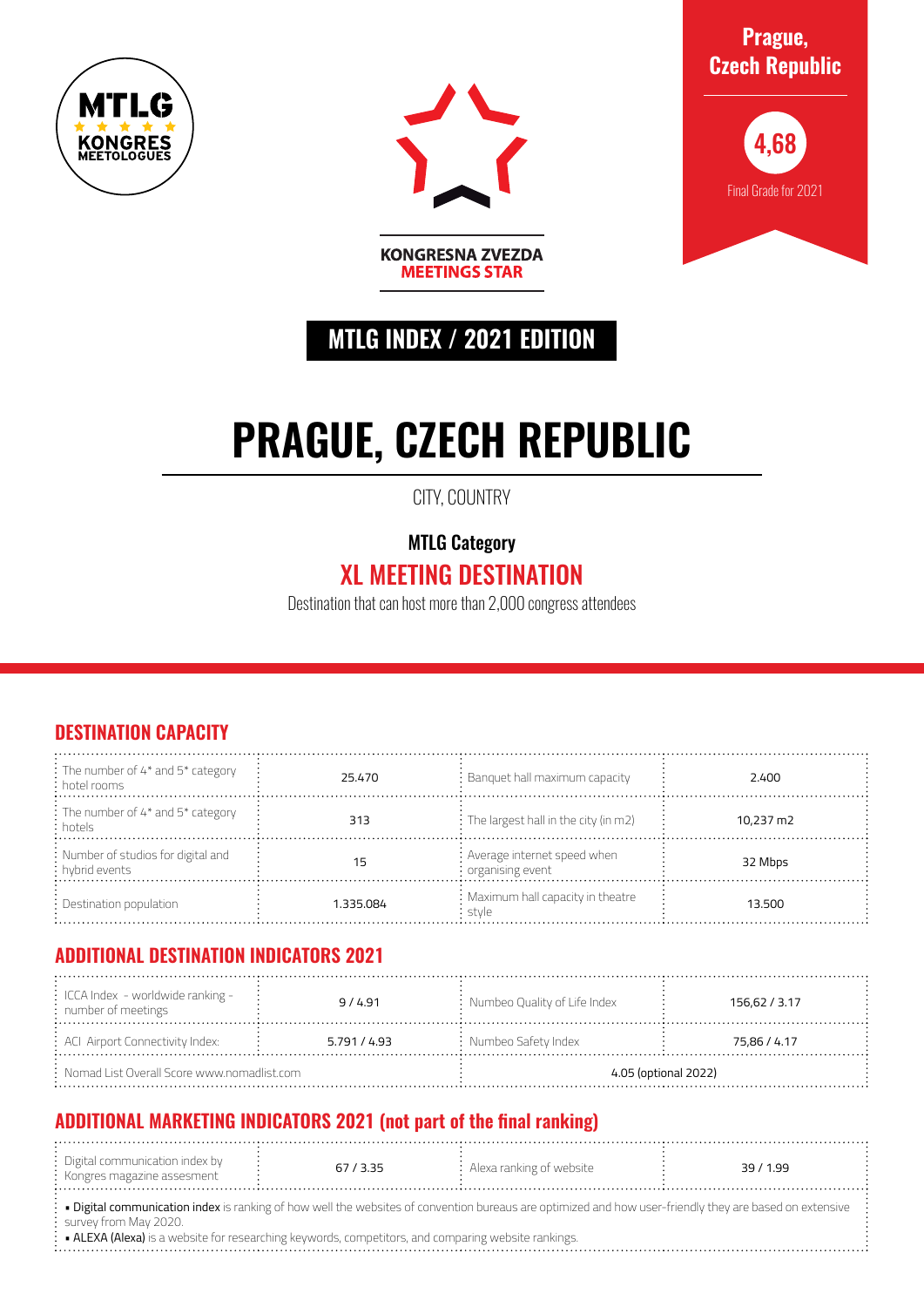



**Prague, Czech Republic**



## **MTLG INDEX / 2021 EDITION**

**MEETINGS STAR** 

# **PRAGUE, CZECH REPUBLIC**

CITY, COUNTRY

MTLG Category

## XL MEETING DESTINATION

Destination that can host more than 2,000 congress attendees

#### **DESTINATION CAPACITY**

| $\frac{1}{2}$ : The number of 4* and 5* category<br>: hotel rooms | 25.470    | $:$ Banquet hall maximum capacity                               | 2.400     |
|-------------------------------------------------------------------|-----------|-----------------------------------------------------------------|-----------|
| : The number of 4* and 5* category<br>: hotels                    | 313       | $\frac{1}{2}$ : The largest hall in the city (in m2)            | 10.237 m2 |
| : Number of studios for digital and<br>: hybrid events            |           | : Average internet speed when<br>$\frac{1}{2}$ organising event | 32 Mbps   |
| $\therefore$ Destination population                               | 1.335.084 | : Maximum hall capacity in theatre<br>stvle                     | 13.500    |

#### **ADDITIONAL DESTINATION INDICATORS 2021**

| $\frac{1}{2}$ ICCA Index - worldwide ranking -<br>$:$ number of meetings | 9/4.91       | $\frac{1}{2}$ Numbeo Quality of Life Index | 156,62 / 3.17 |  |
|--------------------------------------------------------------------------|--------------|--------------------------------------------|---------------|--|
| : ACI Airport Connectivity Index:                                        | 5.791 / 4.93 | $:$ Numbeo Safety Index                    | 75,86 / 4.17  |  |
| $\therefore$ Nomad List Overall Score www.nomadlist.com                  |              | 4.05 (optional 2022)                       |               |  |

### **ADDITIONAL MARKETING INDICATORS 2021 (not part of the final ranking)**

| . Digital communication index by $\,$ |  |                                   |         |
|---------------------------------------|--|-----------------------------------|---------|
|                                       |  | $:$ Alexa ranking of website $\:$ | 39/1.99 |
|                                       |  |                                   |         |
| : Kongres magazine assesment          |  |                                   |         |
|                                       |  |                                   |         |
|                                       |  |                                   |         |

· Digital communication index is ranking of how well the websites of convention bureaus are optimized and how user-friendly they are based on extensive survey from May 2020.

• ALEXA (Alexa) is a website for researching keywords, competitors, and comparing website rankings.